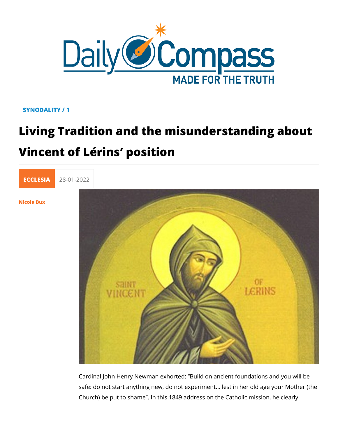## SYNODALITY / 1

## Living Tradition and the misunderstand Vincent of Lérins position



[Nicola B](/en/nicola-bux)ux

Cardinal John Henry Newman exhorted: Build on ancient found safe: do not start anything new, do not experiment... lest in he Church) be put to shame . In this 1849 address on the Catholic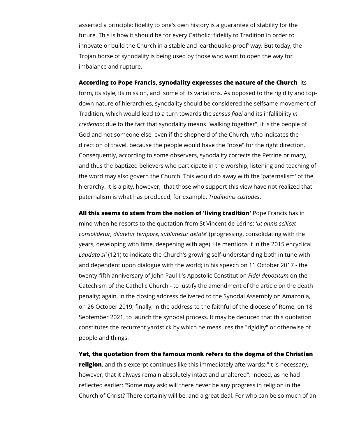asserted a principle: fidelity to one's own history is a guarantee of stability for the future. This is how it should be for every Catholic: fidelity to Tradition in order to innovate or build the Church in a stable and 'earthquake-proof' way. But today, the Trojan horse of synodality is being used by those who want to open the way for imbalance and rupture.

## **According to Pope Francis, synodality expresses the nature of the Church**, its

form, its style, its mission, and some of its variations. As opposed to the rigidity and topdown nature of hierarchies, synodality should be considered the selfsame movement of Tradition, which would lead to a turn towards the *sensus fidei* and its infallibility *in credendo*; due to the fact that synodality means "walking together", it is the people of God and not someone else, even if the shepherd of the Church, who indicates the direction of travel, because the people would have the "nose" for the right direction. Consequently, according to some observers, synodality corrects the Petrine primacy, and thus the baptized believers who participate in the worship, listening and teaching of the word may also govern the Church. This would do away with the 'paternalism' of the hierarchy. It is a pity, however, that those who support this view have not realized that paternalism is what has produced, for example, *Traditionis custodes*.

**All this seems to stem from the notion of 'living tradition'** Pope Francis has in mind when he resorts to the quotation from St Vincent de Lérins: *'ut annis scilicet consolidetur, dilatetur tempore, sublimetur aetate*' (progressing, consolidating with the years, developing with time, deepening with age). He mentions it in the 2015 encyclical *Laudato si'* (121) to indicate the Church's growing self-understanding both in tune with and dependent upon dialogue with the world; in his speech on 11 October 2017 - the twenty-fifth anniversary of John Paul II's Apostolic Constitution *Fidei depositum* on the Catechism of the Catholic Church - to justify the amendment of the article on the death penalty; again, in the closing address delivered to the Synodal Assembly on Amazonia, on 26 October 2019; finally, in the address to the faithful of the diocese of Rome, on 18 September 2021, to launch the synodal process. It may be deduced that this quotation constitutes the recurrent yardstick by which he measures the "rigidity" or otherwise of people and things.

**Yet, the quotation from the famous monk refers to the dogma of the Christian religion**, and this excerpt continues like this immediately afterwards: "It is necessary, however, that it always remain absolutely intact and unaltered". Indeed, as he had reflected earlier: "Some may ask: will there never be any progress in religion in the Church of Christ? There certainly will be, and a great deal. For who can be so much of an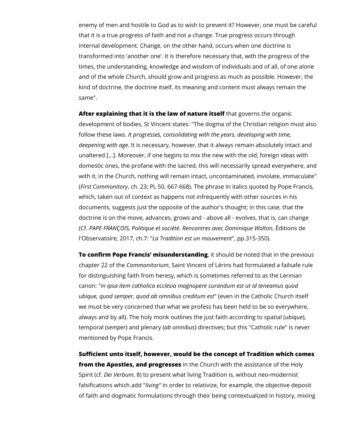enemy of men and hostile to God as to wish to prevent it? However, one must be careful that it is a true progress of faith and not a change. True progress occurs through internal development. Change, on the other hand, occurs when one doctrine is transformed into 'another one'. It is therefore necessary that, with the progress of the times, the understanding, knowledge and wisdom of individuals and of all, of one alone and of the whole Church, should grow and progress as much as possible. However, the kind of doctrine, the doctrine itself, its meaning and content must always remain the same".

**After explaining that it is the law of nature itself** that governs the organic development of bodies, St Vincent states: "The dogma of the Christian religion must also follow these laws. *It progresses, consolidating with the years, developing with time, deepening with age.* It is necessary, however, that it always remain absolutely intact and unaltered [...]. Moreover, if one begins to mix the new with the old, foreign ideas with domestic ones, the profane with the sacred, this will necessarily spread everywhere, and with it, in the Church, nothing will remain intact, uncontaminated, inviolate, immaculate" (*First Commonitory*, ch. 23; PL 50, 667-668). The phrase In italics quoted by Pope Francis, which, taken out of context as happens not infrequently with other sources in his documents, suggests just the opposite of the author's thought; in this case, that the doctrine is on the move, advances, grows and - above all - evolves, that is, can change (Cf. *PAPE FRANÇOIS, Politique et société*. *Rencontres avec Dominique Wolton*, Éditions de l'Observatoire, 2017, ch.7: "*La Tradition est un mouvement*", pp.315-350).

**To confirm Pope Francis' misunderstanding**, it should be noted that in the previous chapter 22 of the *Commonitorium*, Saint Vincent of Lérins had formulated a failsafe rule for distinguishing faith from heresy, which is sometimes referred to as the Lerinian canon: "*in ipsa item catholica ecclesia magnopere curandum est ut id teneamus quod ubique, quod semper, quod ab omnibus creditum est*" (even in the Catholic Church itself we must be very concerned that what we profess has been held to be so everywhere, always and by all). The holy monk outlines the just faith according to spatial (*ubique*), temporal (*semper*) and plenary (*ab omnibus*) directives; but this "Catholic rule" is never mentioned by Pope Francis.

**Sufficient unto itself, however, would be the concept of Tradition which comes from the Apostles, and progresses** in the Church with the assistance of the Holy Spirit (cf. *Dei Verbum*, 8) to present what living Tradition is, without neo-modernist falsifications which add "*living"* in order to relativize, for example, the objective deposit of faith and dogmatic formulations through their being contextualized in history, mixing